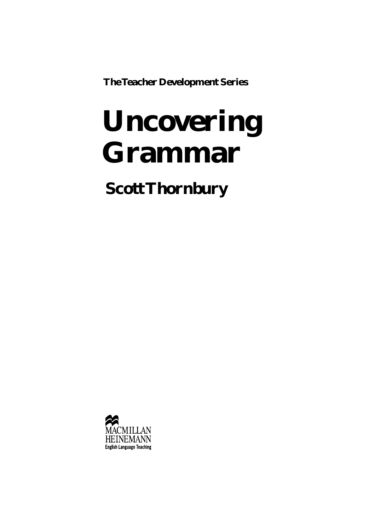**The Teacher Development Series**

# **Uncovering Grammar**

**Scott Thornbury**

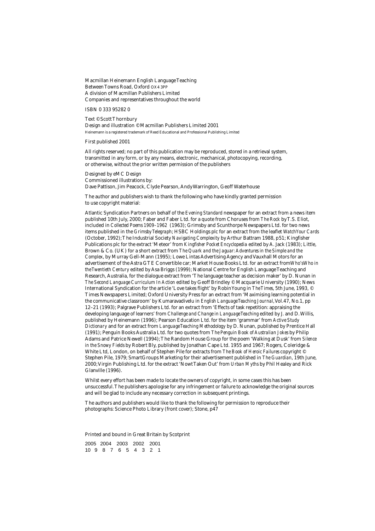Macmillan Heinemann English Language Teaching Between Towns Road, Oxford OX4 3PP A division of Macmillan Publishers Limited Companies and representatives throughout the world

ISBN 0 333 95282 0

Text ©Scott Thornbury Design and illustration ©Macmillan Publishers Limited 2001 Heinemann is a registered trademark of Reed Educational and Professional Publishing Limited

#### First published 2001

All rights reserved; no part of this publication may be reproduced, stored in a retrieval system, transmitted in any form, or by any means, electronic, mechanical, photocopying, recording, or otherwise, without the prior written permission of the publishers

Designed by eMC Design Commissioned illustrations by: Dave Pattison, Jim Peacock, Clyde Pearson, Andy Warrington, Geoff Waterhouse

The author and publishers wish to thank the following who have kindly granted permission to use copyright material:

Atlantic Syndication Partners on behalf of the *Evening Standard* newspaper for an extract from a news item published 10th July, 2000; Faber and Faber Ltd. for a quote from Choruses from *The Rock* by T.S. Eliot, included in *Collected Poems 1909–1962* (1963); Grimsby and Scunthorpe Newspapers Ltd. for two news items published in the *Grimsby Telegraph*; HSBC Holdings plc for an extract from the leaflet *Watch Your Cards* (October, 1992);The Industrial Society *Navigating Complexity* by Arthur Battram 1988, p51; Kingfisher Publications plc for the extract 'Meteor' from *Kingfisher Pocket Encyclopedia* edited by A. Jack (1983); Little, Brown & Co. (UK) for a short extract from *The Quark and the Jaguar:Adventures in the Simple and the Complex*, by Murray Gell-Mann (1995); Lowe Lintas Advertising Agency and Vauxhall Motors for an advertisement of the Astra GTE Convertible car; Market House Books Ltd. for an extract from*Who's Who in the Twentieth Century* edited by Asa Briggs (1999); National Centre for English Language Teaching and Research, Australia, for the dialogue extract from 'The language teacher as decision maker' by D. Nunan in *The Second Language Curriculum In Action* edited by Geoff Brindley © Macquarie University (1990); News International Syndication for the article 'Love takes flight' by Robin Young in *The Times*, 5th June, 1993, © Times Newspapers Limited; Oxford University Press for an extract from 'Maximising learning potential in the communicative classroom' by Kumaravadivelu in *English Language Teaching Journal*, Vol.47, No.1, pp 12–21 (1993); Palgrave Publishers Ltd. for an extract from 'Effects of task repetition: appraising the developing language of learners' from *Challenge and Change in Language Teaching* edited by J. and D.Willis, published by Heinemann (1996); Pearson Education Ltd. for the item 'grammar' from *Active Study Dictionary* and for an extract from *Language Teaching Methodology* by D. Nunan, published by Prentice Hall (1991); Penguin Books Australia Ltd. for two quotes from *The Penguin Book of Australian Jokes* by Philip Adams and Patrice Newell (1994);The Random House Group for the poem 'Walking at Dusk' from *Silence in the Snowy Fields* by Robert Bly, published by Jonathan Cape Ltd. 1955 and 1967; Rogers, Coleridge & White Ltd, London, on behalf of Stephen Pile for extracts from *The Book of Heroic Failures* copyright © Stephen Pile, 1979; SmartGroups Marketing for their advertisement published in *The Guardian*, 19th June, 2000;Virgin Publishing Ltd. for the extract 'Nowt Taken Out' from *Urban Myths* by Phil Healey and Rick Glanville (1996).

Whilst every effort has been made to locate the owners of copyright, in some cases this has been unsuccessful.The publishers apologise for any infringement or failure to acknowledge the original sources and will be glad to include any necessary correction in subsequent printings.

The authors and publishers would like to thank the following for permission to reproduce their photographs: Science Photo Library (front cover); Stone, p47

Printed and bound in Great Britain by Scotprint

2005 2004 2003 2002 2001 10 9 8 7 6 5 4 3 2 1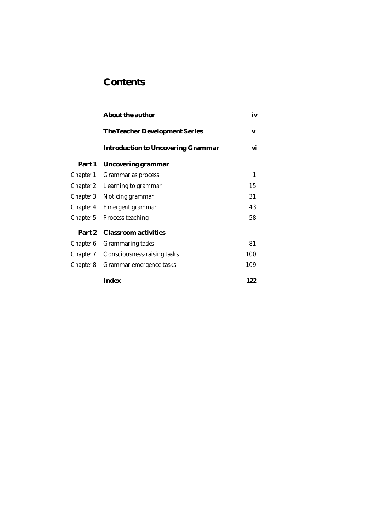# **Contents**

|        | <b>About the author</b>                   | iv  |
|--------|-------------------------------------------|-----|
|        | <b>The Teacher Development Series</b>     | V   |
|        | <b>Introduction to Uncovering Grammar</b> | vi  |
| Part 1 | <b>Uncovering grammar</b>                 |     |
|        | <i>Chapter 1</i> Grammar as process       | 1   |
|        | <i>Chapter 2</i> Learning to grammar      | 15  |
|        | <i>Chapter 3</i> Noticing grammar         | 31  |
|        | Chapter 4 Emergent grammar                | 43  |
|        | Chapter 5 Process teaching                | 58  |
|        | <b>Part 2 Classroom activities</b>        |     |
|        | <i>Chapter 6</i> Grammaring tasks         | 81  |
|        | Chapter 7 Consciousness-raising tasks     | 100 |
|        | Chapter 8 Grammar emergence tasks         | 109 |
|        | Index                                     | 122 |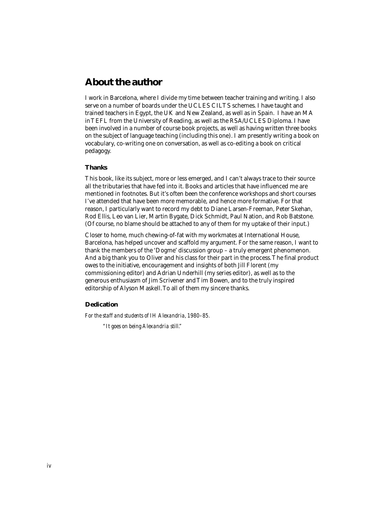# **About the author**

I work in Barcelona, where I divide my time between teacher training and writing. I also serve on a number of boards under the UCLES CILTS schemes. I have taught and trained teachers in Egypt, the UK and New Zealand, as well as in Spain. I have an MA in TEFL from the University of Reading, as well as the RSA/UCLES Diploma. I have been involved in a number of course book projects, as well as having written three books on the subject of language teaching (including this one). I am presently writing a book on vocabulary, co-writing one on conversation, as well as co-editing a book on critical pedagogy.

## **Thanks**

This book, like its subject, more or less emerged, and I can't always trace to their source all the tributaries that have fed into it. Books and articles that have influenced me are mentioned in footnotes. But it's often been the conference workshops and short courses I've attended that have been more memorable, and hence more formative. For that reason, I particularly want to record my debt to Diane Larsen-Freeman, Peter Skehan, Rod Ellis, Leo van Lier, Martin Bygate, Dick Schmidt, Paul Nation, and Rob Batstone. (Of course, no blame should be attached to any of them for my uptake of their input.)

Closer to home, much chewing-of-fat with my workmates at International House, Barcelona, has helped uncover and scaffold my argument. For the same reason, I want to thank the members of the 'Dogme' discussion group – a truly emergent phenomenon. And a big thank you to Oliver and his class for their part in the process.The final product owes to the initiative, encouragement and insights of both Jill Florent (my commissioning editor) and Adrian Underhill (my series editor), as well as to the generous enthusiasm of Jim Scrivener and Tim Bowen, and to the truly inspired editorship of Alyson Maskell.To all of them my sincere thanks.

## **Dedication**

*For the staff and students of IH Alexandria,1980–85.*

*"It goes on being Alexandria still."*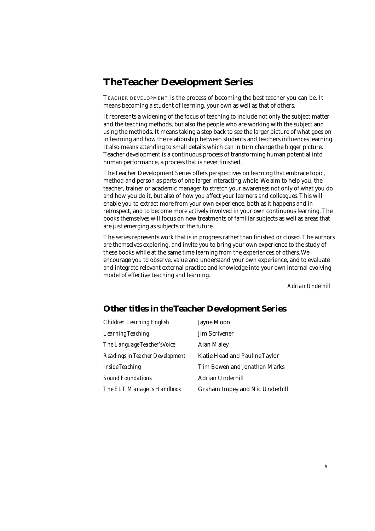# **The Teacher Development Series**

TEACHER DEVELOPMENT is the process of becoming the best teacher you can be. It means becoming a student of learning, your own as well as that of others.

It represents a widening of the focus of teaching to include not only the subject matter and the teaching methods, but also the people who are working with the subject and using the methods. It means taking a step back to see the larger picture of what goes on in learning and how the relationship between students and teachers influences learning. It also means attending to small details which can in turn change the bigger picture. Teacher development is a continuous process of transforming human potential into human performance, a process that is never finished.

The Teacher Development Series offers perspectives on learning that embrace topic, method and person as parts of one larger interacting whole.We aim to help you, the teacher, trainer or academic manager to stretch your awareness not only of what you do and how you do it, but also of how you affect your learners and colleagues.This will enable you to extract more from your own experience, both as it happens and in retrospect, and to become more actively involved in your own continuous learning.The books themselves will focus on new treatments of familiar subjects as well as areas that are just emerging as subjects of the future.

The series represents work that is in progress rather than finished or closed.The authors are themselves exploring, and invite you to bring your own experience to the study of these books while at the same time learning from the experiences of others.We encourage you to observe, value and understand your own experience, and to evaluate and integrate relevant external practice and knowledge into your own internal evolving model of effective teaching and learning.

*Adrian Underhill*

# **Other titles in the Teacher Development Series**

| Tim Bowen and Jonathan Marks          |
|---------------------------------------|
|                                       |
| <b>Graham Impey and Nic Underhill</b> |
|                                       |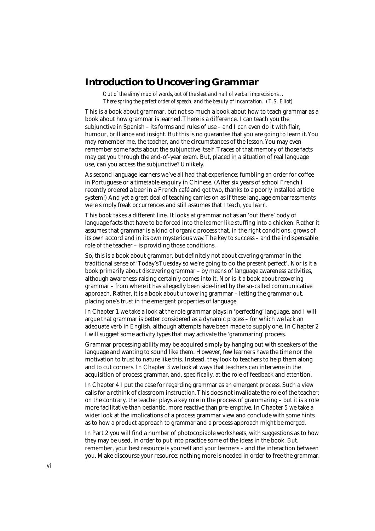# **Introduction to** *Uncovering Grammar*

Out of the slimy mud of words, out of the sleet and hail of verbal imprecisions... *There spring the perfect order of speech, and the beauty of incantation. (T.S. Eliot)* 

This is a book about grammar, but not so much a book about how to teach grammar as a book about how grammar is learned.There is a difference. I can teach you the subjunctive in Spanish – its forms and rules of use – and I can even do it with flair, humour, brilliance and insight. But this is no guarantee that you are going to learn it.You may remember me, the teacher, and the circumstances of the lesson.You may even remember some facts about the subjunctive itself.Traces of that memory of those facts may get you through the end-of-year exam. But, placed in a situation of real language use, can you access the subjunctive? Unlikely.

As second language learners we've all had that experience: fumbling an order for coffee in Portuguese or a timetable enquiry in Chinese. (After six years of school French I recently ordered a beer in a French café and got two, thanks to a poorly installed article system!) And yet a great deal of teaching carries on as if these language embarrassments were simply freak occurrences and still assumes that *I teach, you learn.* 

This book takes a different line. It looks at grammar not as an 'out there' body of language facts that have to be forced into the learner like stuffing into a chicken. Rather it assumes that grammar is a kind of organic process that, in the right conditions, grows of its own accord and in its own mysterious way.The key to success – and the indispensable role of the teacher – is providing those conditions.

So, this is a book about grammar, but definitely not about *covering* grammar in the traditional sense of 'Today's Tuesday so we're going to do the present perfect'. Nor is it a book primarily about *discovering* grammar – by means of language awareness activities, although awareness-raising certainly comes into it. Nor is it a book about *recovering* grammar – from where it has allegedly been side-lined by the so-called communicative approach. Rather, it is a book about *uncovering* grammar – letting the grammar out, placing one's trust in the emergent properties of language.

In Chapter 1 we take a look at the role grammar plays in 'perfecting' language, and I will argue that grammar is better considered as a dynamic *process –* for which we lack an adequate verb in English, although attempts have been made to supply one. In Chapter 2 I will suggest some activity types that may activate the 'grammaring' process.

Grammar processing ability may be acquired simply by hanging out with speakers of the language and wanting to sound like them. However, few learners have the time nor the motivation to trust to nature like this. Instead, they look to teachers to help them along and to cut corners. In Chapter 3 we look at ways that teachers can intervene in the acquisition of process grammar, and, specifically, at the role of feedback and attention.

In Chapter 4 I put the case for regarding grammar as an emergent process. Such a view calls for a rethink of classroom instruction.This does not invalidate the role of the teacher: on the contrary, the teacher plays a key role in the process of grammaring – but it is a role more facilitative than pedantic, more reactive than pre-emptive. In Chapter 5 we take a wider look at the implications of a process grammar view and conclude with some hints as to how a product approach to grammar and a process approach might be merged.

In Part 2 you will find a number of photocopiable worksheets, with suggestions as to how they may be used, in order to put into practice some of the ideas in the book. But, remember, your best resource is yourself and your learners – and the interaction between you. Make discourse your resource: nothing more is needed in order to free the grammar.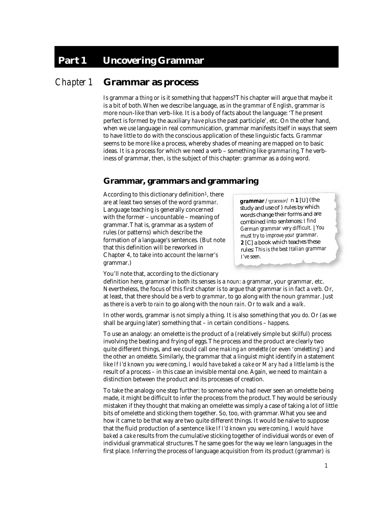Is grammar a *thing* or is it something that *happens*? This chapter will argue that maybe it is a bit of both.When we describe language, as in the *grammar of English*, grammar is more noun-like than verb-like. It is a body of facts about the language: 'The present perfect is formed by the auxiliary *have* plus the past participle', etc. On the other hand, when we *use* language in real communication, grammar manifests itself in ways that seem to have little to do with the conscious application of these linguistic facts. Grammar seems to be more like a process, whereby shades of meaning are mapped on to basic ideas. It is a process for which we need a verb – something like *grammaring*.The verbiness of grammar, then, is the subject of this chapter: grammar as a *doing* word.

## **Grammar, grammars and grammaring**

According to this dictionary definition<sup>1</sup>, there are at least two senses of the word *grammar*. Language teaching is generally concerned with the former – uncountable – meaning of grammar.That is, grammar as a system of rules (or patterns) which describe the formation of a language's sentences. (But note that this definition will be reworked in Chapter 4, to take into account the *learner's* grammar.)

**grammar** /˘ grœm´r/ n **<sup>1</sup>** [U] (the study and use of ) rules by which words change their forms and are combined into sentences: *I find German grammar very difficult.* | *You must try to improve your grammar*. **2** [C] a book which teaches these rules: *This is the best Italian grammar I've seen.*

You'll note that, according to the dictionary

definition here, grammar in both its senses is a *noun*: a grammar, your grammar, etc. Nevertheless, the focus of this first chapter is to argue that grammar is in fact a *verb*. Or, at least, that there should be a verb *to grammar*, to go along with the noun *grammar*. Just as there is a verb *to rain* to go along with the noun *rain*. Or *to walk* and *a walk.*

In other words, grammar is not simply a thing. It is also something that you *do*. Or (as we shall be arguing later) something that – in certain conditions – *happens*.

To use an analogy: an omelette is the product of a (relatively simple but skilful) process involving the beating and frying of eggs.The process and the product are clearly two quite different things, and we could call one *making an omelette* (or even *'omeletting'*) and the other *an omelette*. Similarly, the grammar that a linguist might identify in a statement like *If I'd known you were coming,I would have baked a cake* or *Mary had a little lamb* is the result of a process – in this case an invisible mental one. Again, we need to maintain a distinction between the product and its processes of creation.

To take the analogy one step further: to someone who had never seen an omelette being made, it might be difficult to infer the process from the product.They would be seriously mistaken if they thought that making an omelette was simply a case of taking a lot of little bits of omelette and sticking them together. So, too, with grammar.What you see and how it came to be that way are two quite different things. It would be naïve to suppose that the fluid production of a sentence like *If I'd known you were coming,I would have baked a cake* results from the cumulative sticking together of individual words or even of individual grammatical structures.The same goes for the way we learn languages in the first place. Inferring the process of language acquisition from its product (grammar) is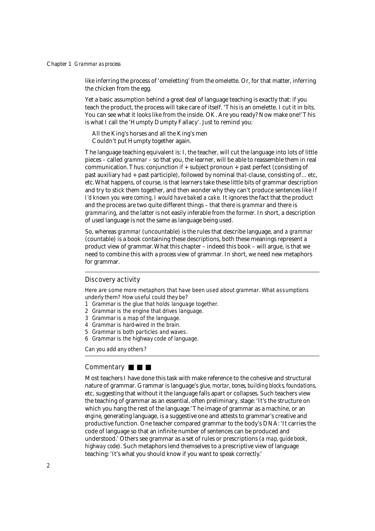like inferring the process of 'omeletting' from the omelette. Or, for that matter, inferring the chicken from the egg.

Yet a basic assumption behind a great deal of language teaching is exactly that: if you teach the product, the process will take care of itself. 'This is an omelette. I cut it in bits. You can see what it looks like from the inside. OK. Are you ready? Now make one!' This is what I call the 'Humpty Dumpty Fallacy'. Just to remind you:

All the King's horses and all the King's men Couldn't put Humpty together again.

The language teaching equivalent is: I, the teacher, will cut the language into lots of little pieces – called *grammar* – so that you, the learner, will be able to reassemble them in real communication.Thus: conjunction *if* + subject pronoun + past perfect (consisting of past auxiliary *had* + past participle), followed by nominal *that-*clause, consisting of... etc, etc.What happens, of course, is that learners take these little bits of grammar description and try to stick them together, and then wonder why they can't produce sentences like *If I'd known you were coming,I would have baked a cake.* It ignores the fact that the product and the process are two quite different things – that there is *grammar* and there is *grammaring*, and the latter is not easily inferable from the former. In short, a description of used language is not the same as language being used.

So, whereas *grammar* (uncountable) is the rules that describe language, and *a grammar* (countable) is a book containing these descriptions, both these meanings represent a product view of grammar.What this chapter – indeed this book – will argue, is that we need to combine this with a *process* view of grammar. In short, we need new metaphors for grammar.

## Discovery activity

Here are some more metaphors that have been used about *grammar*. What assumptions underly them? How useful could they be?

- 1 Grammar is the *glue* that holds language together.
- 2 Grammar is the *engine* that drives language.
- 3 Grammar is a *map* of the language.
- 4 Grammar is *hard-wired* in the brain.
- 5 Grammar is both *particles* and *waves*.
- 6 Grammar is the *highway code* of language.

Can you add any others?

## Commentary ■ ■ ■

Most teachers I have done this task with make reference to the cohesive and structural nature of grammar. Grammar is language's *glue,mortar,bones,building blocks,foundations,* etc, suggesting that without it the language falls apart or collapses. Such teachers view the teaching of grammar as an essential, often preliminary, stage: 'It's the structure on which you hang the rest of the language.'The image of grammar as a machine, or an *engine*, generating language, is a suggestive one and attests to grammar's creative and productive function. One teacher compared grammar to the body's DNA: 'It carries the code of language so that an infinite number of sentences can be produced and understood.' Others see grammar as a set of rules or prescriptions (*a map,guide book, highway code*). Such metaphors lend themselves to a prescriptive view of language teaching: 'It's what you should know if you want to speak correctly.'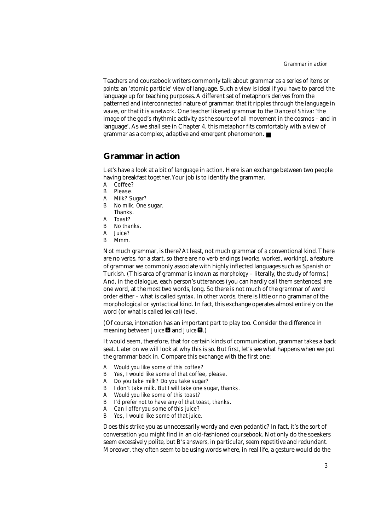Teachers and coursebook writers commonly talk about grammar as a series of *items* or *points*: an 'atomic particle' view of language. Such a view is ideal if you have to parcel the language up for teaching purposes. A different set of metaphors derives from the patterned and interconnected nature of grammar: that it ripples through the language in *waves*, or that it is a *network*. One teacher likened grammar to the *Dance of Shiva*: 'the image of the god's rhythmic activity as the source of all movement in the cosmos – and in language'. As we shall see in Chapter 4, this metaphor fits comfortably with a view of grammar as a complex, adaptive and emergent phenomenon. ■

## **Grammar in action**

Let's have a look at a bit of language in action. Here is an exchange between two people having breakfast together.Your job is to identify the grammar.

- A Coffee?
- **B** Please.
- A Milk? Sugar?
- B No milk. One sugar.
- Thanks.
- A Toast?
- **B** No thanks.
- $\Delta$  Juice?
- B Mmm.

Not much grammar, is there? At least, not much grammar of a conventional kind.There are no verbs, for a start, so there are no verb endings (work*s*, work*ed*, work*ing*), a feature of grammar we commonly associate with highly inflected languages such as Spanish or Turkish. (This area of grammar is known as *morphology* – literally, the study of forms.) And, in the dialogue, each person's utterances (you can hardly call them sentences) are one word, at the most two words, long. So there is not much of the grammar of word order either – what is called *syntax*. In other words, there is little or no grammar of the morphological or syntactical kind. In fact, this exchange operates almost entirely on the word (or what is called *lexical*) level.

(Of course, intonation has an important part to play too. Consider the difference in meaning between *Juice* **D** and *Juice* **0.**)

It would seem, therefore, that for certain kinds of communication, grammar takes a back seat. Later on we will look at why this is so. But first, let's see what happens when we put the grammar back in. Compare this exchange with the first one:

- A Would you like some of this coffee?
- B Yes, I would like some of that coffee, please.
- A Do you take milk? Do you take sugar?
- B I don't take milk. But I will take one sugar, thanks.
- A Would you like some of this toast?
- B I'd prefer not to have any of that toast, thanks.
- A Can I offer you some of this juice?
- B Yes, I would like some of that juice.

Does this strike you as unnecessarily wordy and even pedantic? In fact, it's the sort of conversation you might find in an old-fashioned coursebook. Not only do the speakers seem excessively polite, but B's answers, in particular, seem repetitive and redundant. Moreover, they often seem to be using words where, in real life, a gesture would do the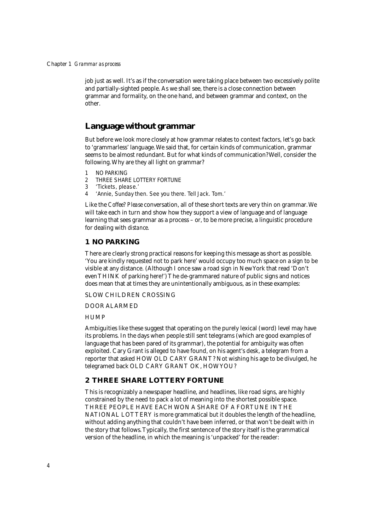job just as well. It's as if the conversation were taking place between two excessively polite and partially-sighted people. As we shall see, there is a close connection between grammar and formality, on the one hand, and between grammar and context, on the other.

## **Language without grammar**

But before we look more closely at how grammar relates to context factors, let's go back to 'grammarless' language.We said that, for certain kinds of communication, grammar seems to be almost redundant. But for what kinds of communication? Well, consider the following.Why are they all light on grammar?

- 1 NO PARKING
- 2 THREE SHARE LOTTERY FORTUNE
- 3 'Tickets, please.'
- 4 'Annie, Sunday then. See you there. Tell Jack. Tom.'

Like the *Coffee? Please* conversation, all of these short texts are very thin on grammar.We will take each in turn and show how they support a view of language and of language learning that sees grammar as a process – or, to be more precise, a linguistic procedure for dealing with *distance*.

## **1 NO PARKING**

There are clearly strong practical reasons for keeping this message as short as possible. 'You are kindly requested not to park here' would occupy too much space on a sign to be visible at any distance. (Although I once saw a road sign in New York that read 'Don't even THINK of parking here!') The de-grammared nature of public signs and notices does mean that at times they are unintentionally ambiguous, as in these examples:

SLOW CHILDREN CROSSING

DOOR ALARMED

#### **HUMP**

Ambiguities like these suggest that operating on the purely lexical (word) level may have its problems. In the days when people still sent telegrams (which are good examples of language that has been pared of its grammar), the potential for ambiguity was often exploited. Cary Grant is alleged to have found, on his agent's desk, a telegram from a reporter that asked HOW OLD CARY GRANT? Not wishing his age to be divulged, he telegramed back OLD CARY GRANT OK, HOW YOU?

#### **2 THREE SHARE LOTTERY FORTUNE**

This is recognizably a newspaper headline, and headlines, like road signs, are highly constrained by the need to pack a lot of meaning into the shortest possible space. THREE PEOPLE HAVE EACH WON A SHARE OF A FORTUNE IN THE NATIONAL LOTTERY is more grammatical but it doubles the length of the headline, without adding anything that couldn't have been inferred, or that won't be dealt with in the story that follows.Typically, the first sentence of the story itself is the grammatical version of the headline, in which the meaning is 'unpacked' for the reader: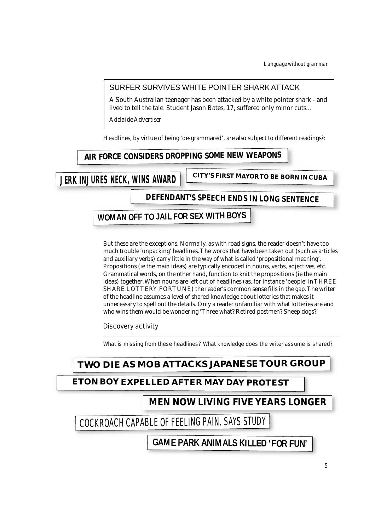*Language without grammar*

# SURFER SURVIVES WHITE POINTER SHARK ATTACK

A South Australian teenager has been attacked by a white pointer shark - and lived to tell the tale. Student Jason Bates, 17, suffered only minor cuts...

*Adelaide Advertiser*

Headlines, by virtue of being 'de-grammared', are also subject to different readings<sup>2</sup>:

# **AIR FORCE CONSIDERS DROPPING SOME NEW WEAPONS**

**JERK INJURES NECK, WINS AWARD**

**CITY'S FIRST MAYOR TO BE BORN IN CUBA**

**DEFENDANT'S SPEECH ENDS IN LONG SENTENCE**

# **WOMAN OFF TO JAIL FOR SEX WITH BOYS**

But these are the exceptions. Normally, as with road signs, the reader doesn't have too much trouble 'unpacking' headlines.The words that have been taken out (such as articles and auxiliary verbs) carry little in the way of what is called 'propositional meaning'. Propositions (ie the main ideas) are typically encoded in nouns, verbs, adjectives, etc. Grammatical words, on the other hand, function to knit the propositions (ie the main ideas) together.When nouns are left out of headlines (as, for instance 'people' in THREE SHARE LOTTERY FORTUNE) the reader's common sense fills in the gap.The writer of the headline assumes a level of shared knowledge about lotteries that makes it unnecessary to spell out the details. Only a reader unfamiliar with what lotteries are and who wins them would be wondering 'Three what? Retired postmen? Sheep dogs?'

Discovery activity

What is missing from these headlines? What knowledge does the writer assume is shared?

# **TWO DIE AS MOB ATTACKS JAPANESE TOUR GROUP**

**ETON BOY EXPELLED AFTER MAY DAY PROTEST** 

# **MEN NOW LIVING FIVE YEARS LONGER**

COCKROACH CAPABLE OF FEELING PAIN, SAYS STUDY

# **GAME PARK ANIMALS KILLED 'FOR FUN'**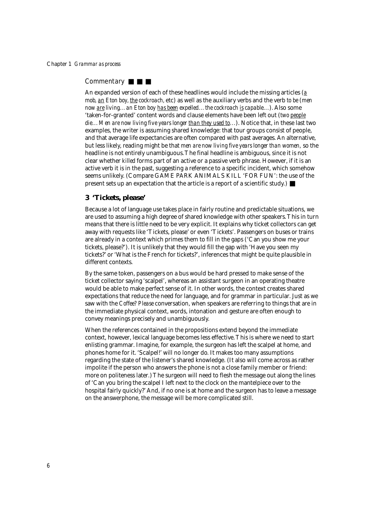## Commentary ■ ■ ■

An expanded version of each of these headlines would include the missing articles (*a mob,an Eton boy,the cockroach,* etc) as well as the auxiliary verbs and the verb *to be* (*men now are living...an Eton boy has been expelled...the cockroach is capable...*). Also some 'taken-for-granted' content words and clause elements have been left out (*two people die...Men are now living five years longer than they used to...*). Notice that, in these last two examples, the writer is assuming shared knowledge: that tour groups consist of people, and that average life expectancies are often compared with past averages. An alternative, but less likely, reading might be that *men are now living five years longer than women,* so the headline is not entirely unambiguous.The final headline is ambiguous, since it is not clear whether *killed* forms part of an active or a passive verb phrase. However, if it is an active verb it is in the past, suggesting a reference to a specific incident, which somehow seems unlikely. (Compare GAME PARK ANIMALS KILL 'FOR FUN': the use of the present sets up an expectation that the article is a report of a scientific study.) ■

#### **3 'Tickets, please'**

Because a lot of language use takes place in fairly routine and predictable situations, we are used to assuming a high degree of shared knowledge with other speakers.This in turn means that there is little need to be very explicit. It explains why ticket collectors can get away with requests like 'Tickets, please' or even 'Tickets'. Passengers on buses or trains are already in a context which primes them to fill in the gaps ('Can you show me your tickets, please?'). It is unlikely that they would fill the gap with 'Have you seen my tickets?' or 'What is the French for tickets?', inferences that might be quite plausible in different contexts.

By the same token, passengers on a bus would be hard pressed to make sense of the ticket collector saying 'scalpel', whereas an assistant surgeon in an operating theatre would be able to make perfect sense of it. In other words, the context creates shared expectations that reduce the need for language, and for grammar in particular. Just as we saw with the *Coffee? Please* conversation, when speakers are referring to things that are in the immediate physical context, words, intonation and gesture are often enough to convey meanings precisely and unambiguously.

When the references contained in the propositions extend beyond the immediate context, however, lexical language becomes less effective.This is where we need to start enlisting grammar. Imagine, for example, the surgeon has left the scalpel at home, and phones home for it. 'Scalpel!' will no longer do. It makes too many assumptions regarding the state of the listener's shared knowledge. (It also will come across as rather impolite if the person who answers the phone is not a close family member or friend: more on politeness later.) The surgeon will need to flesh the message out along the lines of 'Can you bring the scalpel I left next to the clock on the mantelpiece over to the hospital fairly quickly?' And, if no one is at home and the surgeon has to leave a message on the answerphone, the message will be more complicated still.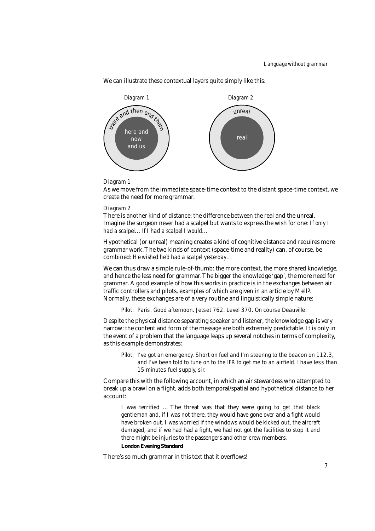We can illustrate these contextual layers quite simply like this:



#### *Diagram 1*

As we move from the immediate space-time context to the distant space-time context, we create the need for more grammar.

#### *Diagram 2*

There is another kind of distance: the difference between the real and the unreal. Imagine the surgeon never had a scalpel but wants to express the wish for one: *If only I had a scalpel...If I had a scalpel I would...*

Hypothetical (or unreal) meaning creates a kind of cognitive distance and requires more grammar work.The two kinds of context (space-time and reality) can, of course, be combined: *He wished he'd had a scalpel yesterday...*

We can thus draw a simple rule-of-thumb: the more context, the more shared knowledge, and hence the less need for grammar.The bigger the knowledge 'gap', the more need for grammar. A good example of how this works in practice is in the exchanges between air traffic controllers and pilots, examples of which are given in an article by Mell3. Normally, these exchanges are of a very routine and linguistically simple nature:

Pilot: Paris. Good afternoon. Jetset 762. Level 370. On course Deauville.

Despite the physical distance separating speaker and listener, the knowledge gap is very narrow: the content and form of the message are both extremely predictable. It is only in the event of a problem that the language leaps up several notches in terms of complexity, as this example demonstrates:

Pilot: I've got an emergency. Short on fuel and I'm steering to the beacon on 112.3, and I've been told to tune on to the IFR to get me to an airfield. I have less than 15 minutes fuel supply, sir.

Compare this with the following account, in which an air stewardess who attempted to break up a brawl on a flight, adds both temporal/spatial and hypothetical distance to her account:

I was terrified ... The threat was that they were going to get that black gentleman and, if I was not there, they would have gone over and a fight would have broken out. I was worried if the windows would be kicked out, the aircraft damaged, and if we had had a fight, we had not got the facilities to stop it and there might be injuries to the passengers and other crew members. **London Evening Standard**

There's so much grammar in this text that it overflows!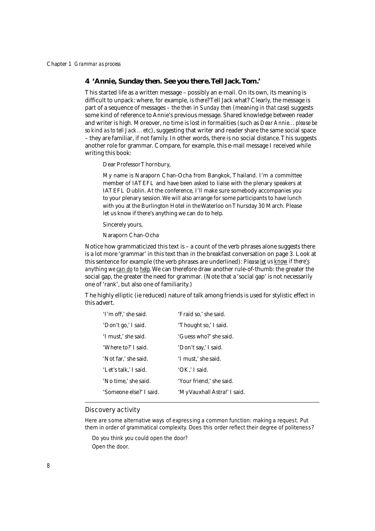## **4 'Annie, Sunday then. See you there.Tell Jack.Tom.'**

This started life as a written message – possibly an e-mail. On its own, its meaning is difficult to unpack: where, for example, is *there*? Tell Jack what? Clearly, the message is part of a sequence of messages – the *then* in *Sunday then* (meaning *in that case*) suggests some kind of reference to Annie's previous message. Shared knowledge between reader and writer is high. Moreover, no time is lost in formalities (such as *Dear Annie...please be so kind as to tell Jack...* etc), suggesting that writer and reader share the same social space – they are familiar, if not family. In other words, there is no social distance.This suggests another role for grammar. Compare, for example, this e-mail message I received while writing this book:

Dear Professor Thornbury,

My name is Naraporn Chan-Ocha from Bangkok, Thailand. I'm a committee member of IATEFL and have been asked to liaise with the plenary speakers at IATEFL Dublin. At the conference, I'll make sure somebody accompanies you to your plenary session.We will also arrange for some participants to have lunch with you at the Burlington Hotel in the Waterloo on Thursday 30 March. Please let us know if there's anything we can do to help.

Sincerely yours,

Naraporn Chan-Ocha

Notice how grammaticized this text is – a count of the verb phrases alone suggests there is a lot more 'grammar' in this text than in the breakfast conversation on page 3. Look at this sentence for example (the verb phrases are underlined): *Please let us know if there's anything we can do to help*.We can therefore draw another rule-of-thumb: the greater the social gap, the greater the need for grammar. (Note that a 'social gap' is not necessarily one of 'rank', but also one of familiarity.)

The highly elliptic (ie reduced) nature of talk among friends is used for stylistic effect in this advert.

| 'I'm off,' she said.    | 'Fraid so,' she said.        |
|-------------------------|------------------------------|
| 'Don't go,' I said.     | 'Thought so,' I said.        |
| 'I must,' she said.     | 'Guess who?' she said.       |
| 'Where to?' I said.     | 'Don't say,' I said.         |
| 'Not far,' she said.    | 'I must,' she said.          |
| 'Let's talk,' I said.   | 'OK,' I said.                |
| 'No time,' she said.    | 'Your friend,' she said.     |
| 'Someone else?' I said. | 'My Vauxhall Astra!' I said. |
|                         |                              |

## Discovery activity

Here are some alternative ways of expressing a common function: making a request. Put them in order of grammatical complexity. Does this order reflect their degree of politeness?

*Do you think you could open the door? Open the door.*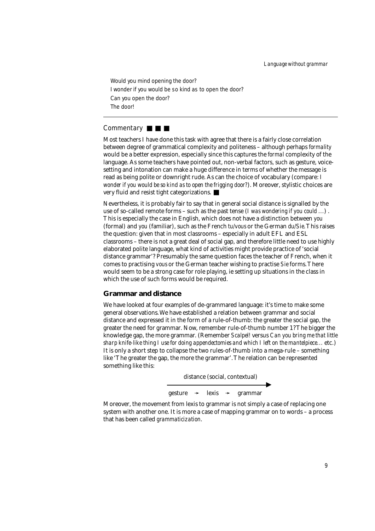*Would you mind opening the door? I wonder if you would be so kind as to open the door? Can you open the door? The door!*

## Commentary ■ ■ ■

Most teachers I have done this task with agree that there is a fairly close correlation between degree of grammatical complexity and politeness – although perhaps *formality* would be a better expression, especially since this captures the *formal* complexity of the language. As some teachers have pointed out, non-verbal factors, such as gesture, voicesetting and intonation can make a huge difference in terms of whether the message is read as being polite or downright rude. As can the choice of vocabulary (compare: *I wonder if you would be so kind as to open the frigging door?*). Moreover, stylistic choices are very fluid and resist tight categorizations. ■

Nevertheless, it is probably fair to say that in general social distance is signalled by the use of so-called remote forms – such as the past tense (*I was wondering if you could ...*) . This is especially the case in English, which does not have a distinction between *you* (formal) and *you* (familiar), such as the French *tu/vous* or the German *du/Sie*.This raises the question: given that in most classrooms – especially in adult EFL and ESL classrooms – there is not a great deal of social gap, and therefore little need to use highly elaborated polite language, what kind of activities might provide practice of 'social distance grammar'? Presumably the same question faces the teacher of French, when it comes to practising *vous* or the German teacher wishing to practise *Sie* forms.There would seem to be a strong case for role playing, ie setting up situations in the class in which the use of such forms would be required.

## **Grammar and distance**

We have looked at four examples of de-grammared language: it's time to make some general observations.We have established a relation between grammar and social distance and expressed it in the form of a rule-of-thumb: the greater the social gap, the greater the need for grammar. Now, remember rule-of-thumb number 1? The bigger the knowledge gap, the more grammar. (Remember *Scalpel!* versus *Can you bring me that little sharp knife-like thing I use for doing appendectomies and which I left on the mantelpiece...* etc.) It is only a short step to collapse the two rules-of-thumb into a mega-rule – something like 'The greater the gap, the more the grammar'.The relation can be represented something like this:

> distance (social, contextual) gesture  $\rightarrow$  lexis  $\rightarrow$  grammar  $\blacktriangleright$

Moreover, the movement from lexis to grammar is not simply a case of replacing one system with another one. It is more a case of mapping grammar on to words – a process that has been called *grammaticization*.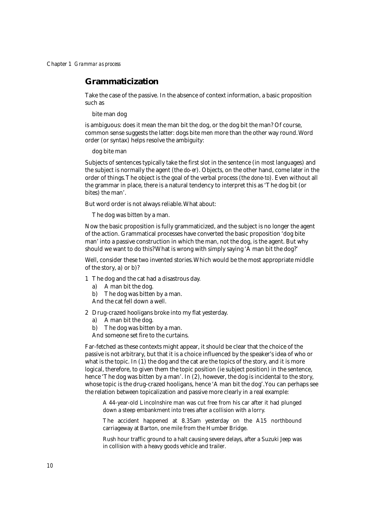## **Grammaticization**

Take the case of the passive. In the absence of context information, a basic proposition such as

bite man dog

is ambiguous: does it mean the man bit the dog, or the dog bit the man? Of course, common sense suggests the latter: dogs bite men more than the other way round.Word order (or syntax) helps resolve the ambiguity:

dog bite man

Subjects of sentences typically take the first slot in the sentence (in most languages) and the subject is normally the agent (the *do-er*). Objects, on the other hand, come later in the order of things.The object is the goal of the verbal process (the *done-to*). Even without all the grammar in place, there is a natural tendency to interpret this as 'The dog bit (or bites) the man'.

But word order is not always reliable.What about:

The dog was bitten by a man.

Now the basic proposition is fully grammaticized, and the subject is no longer the agent of the action. Grammatical processes have converted the basic proposition 'dog bite man' into a passive construction in which the man, not the dog, is the agent. But why should we want to do this? What is wrong with simply saying 'A man bit the dog?'

Well, consider these two invented stories.Which would be the most appropriate middle of the story, a) or b)?

- 1 The dog and the cat had a disastrous day.
	- a) A man bit the dog.
	- b) The dog was bitten by a man.

And the cat fell down a well.

- 2 Drug-crazed hooligans broke into my flat yesterday.
	- a) A man bit the dog.
	- b) The dog was bitten by a man.
	- And someone set fire to the curtains.

Far-fetched as these contexts might appear, it should be clear that the choice of the passive is not arbitrary, but that it is a choice influenced by the speaker's idea of who or what is the topic. In  $(1)$  the dog and the cat are the topics of the story, and it is more logical, therefore, to given them the topic position (ie subject position) in the sentence, hence 'The dog was bitten by a man'. In (2), however, the dog is incidental to the story. whose topic is the drug-crazed hooligans, hence 'A man bit the dog'.You can perhaps see the relation between topicalization and passive more clearly in a real example:

A 44-year-old Lincolnshire man was cut free from his car after it had plunged down a steep embankment into trees after a collision with a lorry.

The accident happened at 8.35am yesterday on the A15 northbound carriageway at Barton, one mile from the Humber Bridge.

Rush hour traffic ground to a halt causing severe delays, after a Suzuki Jeep was in collision with a heavy goods vehicle and trailer.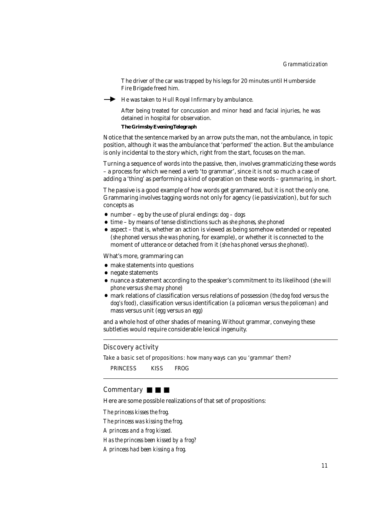The driver of the car was trapped by his legs for 20 minutes until Humberside Fire Brigade freed him.

- He was taken to Hull Royal Infirmary by ambulance.

After being treated for concussion and minor head and facial injuries, he was detained in hospital for observation.

**The Grimsby Evening Telegraph**

Notice that the sentence marked by an arrow puts the man, not the ambulance, in topic position, although it was the ambulance that 'performed' the action. But the ambulance is only incidental to the story which, right from the start, focuses on the man.

Turning a sequence of words into the passive, then, involves grammaticizing these words – a process for which we need a verb 'to grammar', since it is not so much a case of adding a 'thing' as performing a kind of operation on these words – *grammaring*, in short.

The passive is a good example of how words get grammared, but it is not the only one. Grammaring involves tagging words not only for agency (ie passivization), but for such concepts as

- number eg by the use of plural endings: *dog dogs*
- time by means of tense distinctions such as *she phones, she phoned*
- aspect that is, whether an action is viewed as being somehow extended or repeated (*she phoned* versus *she was phoning*, for example), or whether it is connected to the moment of utterance or detached from it (*she has phoned* versus *she phoned*).

What's more, grammaring can

- make statements into questions
- negate statements
- nuance a statement according to the speaker's commitment to its likelihood (*she will phone* versus *she may phone*)
- mark relations of classification versus relations of possession (*the dog food* versus *the dog's food*), classification versus identification (*a policeman* versus *the policeman*) and mass versus unit (*egg* versus *an egg*)

and a whole host of other shades of meaning.Without grammar, conveying these subtleties would require considerable lexical ingenuity.

## Discovery activity

Take a basic set of propositions: how many ways can you 'grammar' them?

PRINCESS KISS FROG

## Commentary ■ ■ ■

Here are some possible realizations of that set of propositions:

*The princess kisses the frog. The princess was kissing the frog. A princess and a frog kissed. Has the princess been kissed by a frog? A princess had been kissing a frog.*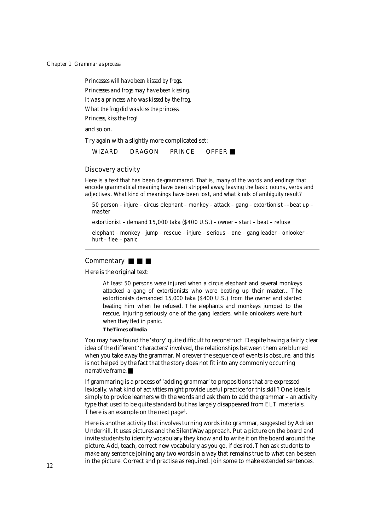*Princesses will have been kissed by frogs. Princesses and frogs may have been kissing. It was a princess who was kissed by the frog. What the frog did was kiss the princess.* **Princess, kiss the frog!** 

and so on.

Try again with a slightly more complicated set:

WIZARD DRAGON PRINCE OFFER ■

#### Discovery activity

Here is a text that has been de-grammared. That is, many of the words and endings that encode grammatical meaning have been stripped away, leaving the basic nouns, verbs and adjectives. What kind of meanings have been lost, and what kinds of ambiguity result?

50 person – injure – circus elephant – monkey – attack – gang – extortionist –- beat up – master

extortionist – demand 15,000 taka (\$400 U.S.) – owner – start – beat – refuse

elephant – monkey – jump – rescue – injure – serious – one – gang leader – onlooker – hurt – flee – panic

## Commentary ■ ■ ■

Here is the original text:

At least 50 persons were injured when a circus elephant and several monkeys attacked a gang of extortionists who were beating up their master... The extortionists demanded 15,000 taka (\$400 U.S.) from the owner and started beating him when he refused. The elephants and monkeys jumped to the rescue, injuring seriously one of the gang leaders, while onlookers were hurt when they fled in panic.

**The Times of India**

You may have found the 'story' quite difficult to reconstruct. Despite having a fairly clear idea of the different 'characters' involved, the relationships between them are blurred when you take away the grammar. Moreover the sequence of events is obscure, and this is not helped by the fact that the story does not fit into any commonly occurring narrative frame

If grammaring is a process of 'adding grammar' to propositions that are expressed lexically, what kind of activities might provide useful practice for this skill? One idea is simply to provide learners with the words and ask them to add the grammar – an activity type that used to be quite standard but has largely disappeared from ELT materials. There is an example on the next page4.

Here is another activity that involves turning words into grammar, suggested by Adrian Underhill. It uses pictures and the Silent Way approach. Put a picture on the board and invite students to identify vocabulary they know and to write it on the board around the picture. Add, teach, correct new vocabulary as you go, if desired.Then ask students to make any sentence joining any two words in a way that remains true to what can be seen in the picture. Correct and practise as required. Join some to make extended sentences.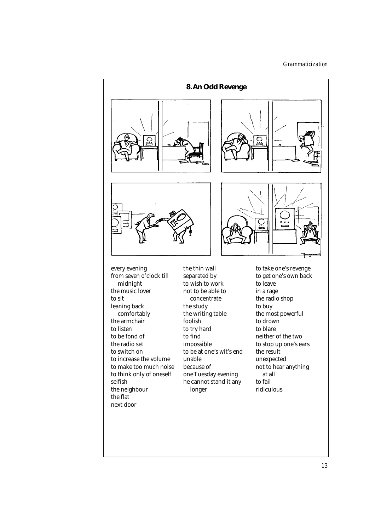

from seven o'clock till midnight the music lover to sit leaning back comfortably the armchair to listen to be fond of the radio set to switch on to increase the volume to make too much noise to think only of oneself selfish the neighbour the flat next door

to wish to work not to be able to concentrate the study the writing table foolish to try hard to find impossible to be at one's wit's end unable because of one Tuesday evening he cannot stand it any longer

to get one's own back to leave in a rage the radio shop to buy the most powerful to drown to blare neither of the two to stop up one's ears the result unexpected not to hear anything at all to fail ridiculous